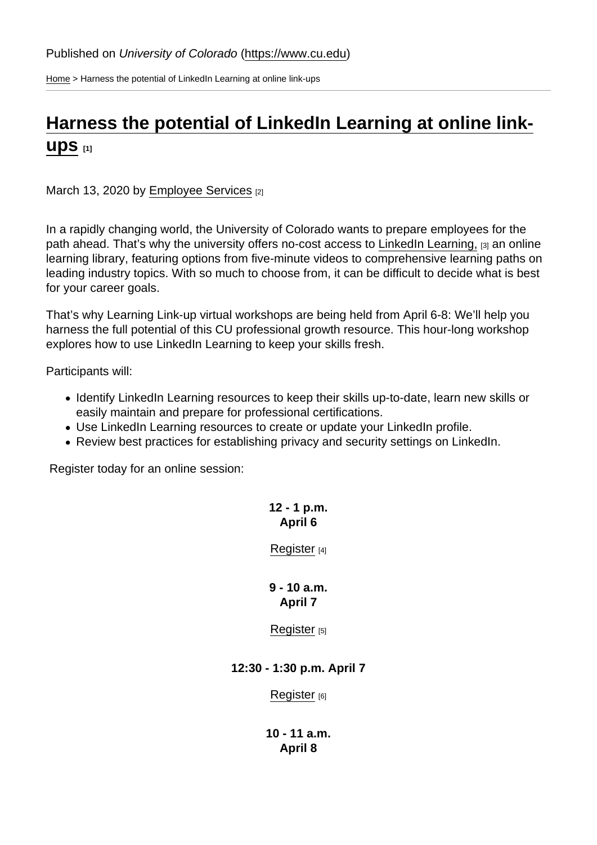[Home](https://www.cu.edu/) > Harness the potential of LinkedIn Learning at online link-ups

## [Harness the potential of LinkedIn Learning at online link-](https://www.cu.edu/blog/work-life/harness-potential-linkedin-learning-online-link-ups)

## $\mathsf{ups}_{[1]}$  $\mathsf{ups}_{[1]}$  $\mathsf{ups}_{[1]}$

March 13, 2020 by [Employee Services](https://www.cu.edu/blog/work-life/author/9230) [2]

In a rapidly changing world, the University of Colorado wants to prepare employees for the path ahead. That's why the university offers no-cost access to [LinkedIn Learning,](https://www.cu.edu/employee-services/professional-growth-training/training-services/linkedin-learning) [3] an online learning library, featuring options from five-minute videos to comprehensive learning paths on leading industry topics. With so much to choose from, it can be difficult to decide what is best for your career goals.

That's why Learning Link-up virtual workshops are being held from April 6-8: We'll help you harness the full potential of this CU professional growth resource. This hour-long workshop explores how to use LinkedIn Learning to keep your skills fresh.

Participants will:

- Identify LinkedIn Learning resources to keep their skills up-to-date, learn new skills or easily maintain and prepare for professional certifications.
- Use LinkedIn Learning resources to create or update your LinkedIn profile.
- Review best practices for establishing privacy and security settings on LinkedIn.

Register today for an online session:

12 - 1 p.m. April 6

[Register](http://www.cvent.com/d/1nqx5l) [4]

9 - 10 a.m. April 7

[Register](http://www.cvent.com/d/7nqsbg)  $[5]$ 

12:30 - 1:30 p.m. April 7

[Register](http://www.cvent.com/d/7nqx50) [6]

10 - 11 a.m. April 8